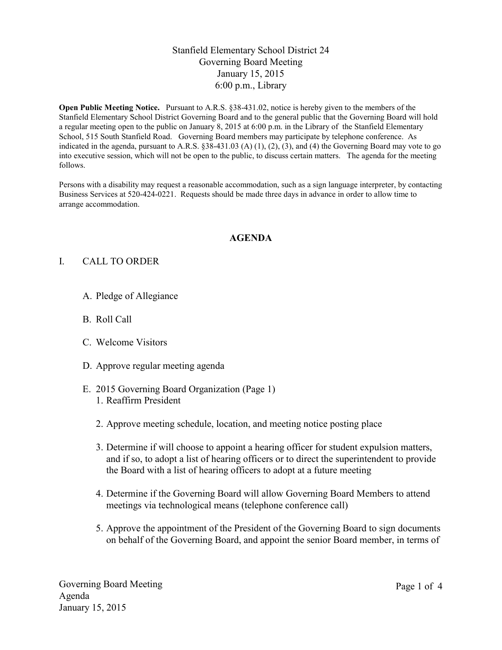### Stanfield Elementary School District 24 Governing Board Meeting January 15, 2015 6:00 p.m., Library

**Open Public Meeting Notice.** Pursuant to A.R.S. §38-431.02, notice is hereby given to the members of the Stanfield Elementary School District Governing Board and to the general public that the Governing Board will hold a regular meeting open to the public on January 8, 2015 at 6:00 p.m. in the Library of the Stanfield Elementary School, 515 South Stanfield Road. Governing Board members may participate by telephone conference. As indicated in the agenda, pursuant to A.R.S.  $\S 38-431.03$  (A) (1), (2), (3), and (4) the Governing Board may vote to go into executive session, which will not be open to the public, to discuss certain matters. The agenda for the meeting follows.

Persons with a disability may request a reasonable accommodation, such as a sign language interpreter, by contacting Business Services at 520-424-0221. Requests should be made three days in advance in order to allow time to arrange accommodation.

#### **AGENDA**

### I. CALL TO ORDER

- A. Pledge of Allegiance
- B. Roll Call
- C. Welcome Visitors
- D. Approve regular meeting agenda
- E. 2015 Governing Board Organization (Page 1) 1. Reaffirm President
	- 2. Approve meeting schedule, location, and meeting notice posting place
	- 3. Determine if will choose to appoint a hearing officer for student expulsion matters, and if so, to adopt a list of hearing officers or to direct the superintendent to provide the Board with a list of hearing officers to adopt at a future meeting
	- 4. Determine if the Governing Board will allow Governing Board Members to attend meetings via technological means (telephone conference call)
	- 5. Approve the appointment of the President of the Governing Board to sign documents on behalf of the Governing Board, and appoint the senior Board member, in terms of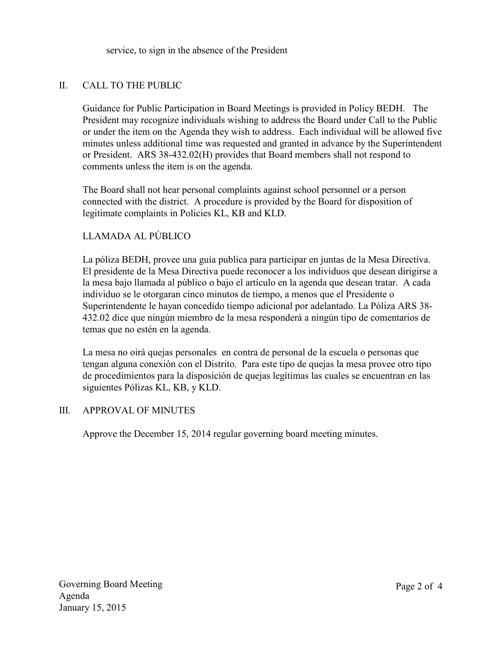service, to sign in the absence of the President

# II. CALL TO THE PUBLIC

Guidance for Public Participation in Board Meetings is provided in Policy BEDH. The President may recognize individuals wishing to address the Board under Call to the Public or under the item on the Agenda they wish to address. Each individual will be allowed five minutes unless additional time was requested and granted in advance by the Superintendent or President. ARS 38-432.02(H) provides that Board members shall not respond to comments unless the item is on the agenda.

The Board shall not hear personal complaints against school personnel or a person connected with the district. A procedure is provided by the Board for disposition of legitimate complaints in Policies KL, KB and KLD.

## LLAMADA AL PÚBLICO

La póliza BEDH, provee una guía publica para participar en juntas de la Mesa Directiva. El presidente de la Mesa Directiva puede reconocer a los individuos que desean dirigirse a la mesa bajo llamada al público o bajo el artículo en la agenda que desean tratar. A cada individuo se le otorgaran cinco minutos de tiempo, a menos que el Presidente o Superintendente le hayan concedido tiempo adicional por adelantado. La Póliza ARS 38- 432.02 dice que ningún miembro de la mesa responderá a ningún tipo de comentarios de temas que no estén en la agenda.

La mesa no oirá quejas personales en contra de personal de la escuela o personas que tengan alguna conexión con el Distrito. Para este tipo de quejas la mesa provee otro tipo de procedimientos para la disposición de quejas legítimas las cuales se encuentran en las siguientes Pólizas KL, KB, y KLD.

### III. APPROVAL OF MINUTES

Approve the December 15, 2014 regular governing board meeting minutes.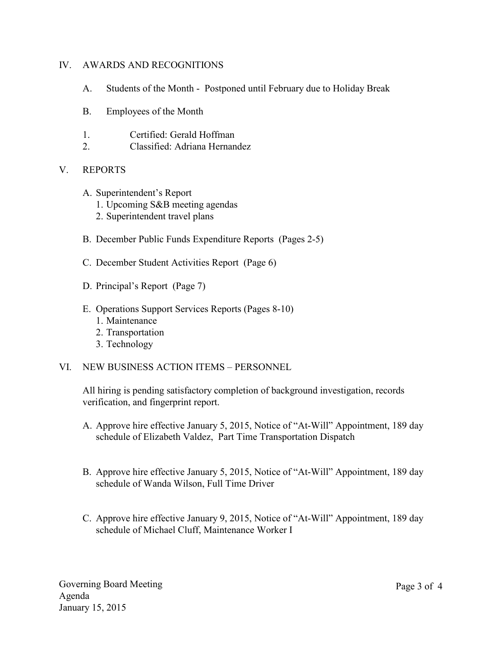#### IV. AWARDS AND RECOGNITIONS

- A. Students of the Month Postponed until February due to Holiday Break
- B. Employees of the Month
- 1. Certified: Gerald Hoffman
- 2. Classified: Adriana Hernandez

### V. REPORTS

- A. Superintendent's Report
	- 1. Upcoming S&B meeting agendas
	- 2. Superintendent travel plans
- B. December Public Funds Expenditure Reports (Pages 2-5)
- C. December Student Activities Report (Page 6)
- D. Principal's Report (Page 7)
- E. Operations Support Services Reports (Pages 8-10)
	- 1. Maintenance
	- 2. Transportation
	- 3. Technology
- VI. NEW BUSINESS ACTION ITEMS PERSONNEL

All hiring is pending satisfactory completion of background investigation, records verification, and fingerprint report.

- A. Approve hire effective January 5, 2015, Notice of "At-Will" Appointment, 189 day schedule of Elizabeth Valdez, Part Time Transportation Dispatch
- B. Approve hire effective January 5, 2015, Notice of "At-Will" Appointment, 189 day schedule of Wanda Wilson, Full Time Driver
- C. Approve hire effective January 9, 2015, Notice of "At-Will" Appointment, 189 day schedule of Michael Cluff, Maintenance Worker I